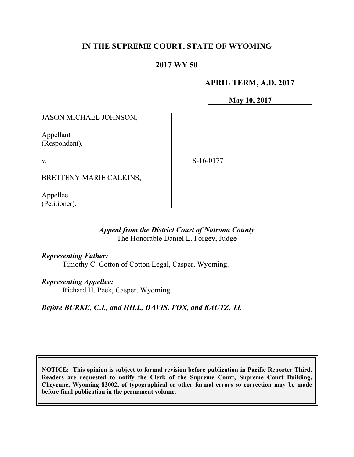# **IN THE SUPREME COURT, STATE OF WYOMING**

## **2017 WY 50**

## **APRIL TERM, A.D. 2017**

**May 10, 2017**

JASON MICHAEL JOHNSON,

Appellant (Respondent),

v.

S-16-0177

BRETTENY MARIE CALKINS,

Appellee (Petitioner).

## *Appeal from the District Court of Natrona County* The Honorable Daniel L. Forgey, Judge

### *Representing Father:*

Timothy C. Cotton of Cotton Legal, Casper, Wyoming.

### *Representing Appellee:*

Richard H. Peek, Casper, Wyoming.

## *Before BURKE, C.J., and HILL, DAVIS, FOX, and KAUTZ, JJ.*

**NOTICE: This opinion is subject to formal revision before publication in Pacific Reporter Third. Readers are requested to notify the Clerk of the Supreme Court, Supreme Court Building, Cheyenne, Wyoming 82002, of typographical or other formal errors so correction may be made before final publication in the permanent volume.**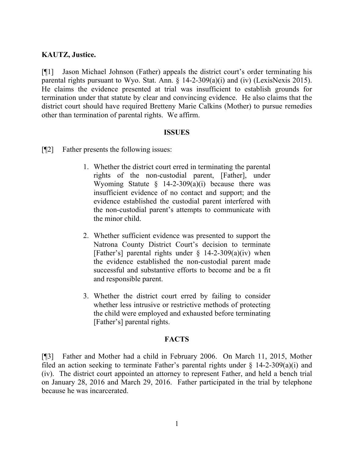## **KAUTZ, Justice.**

[¶1] Jason Michael Johnson (Father) appeals the district court's order terminating his parental rights pursuant to Wyo. Stat. Ann. § 14-2-309(a)(i) and (iv) (LexisNexis 2015). He claims the evidence presented at trial was insufficient to establish grounds for termination under that statute by clear and convincing evidence. He also claims that the district court should have required Bretteny Marie Calkins (Mother) to pursue remedies other than termination of parental rights. We affirm.

#### **ISSUES**

[¶2] Father presents the following issues:

- 1. Whether the district court erred in terminating the parental rights of the non-custodial parent, [Father], under Wyoming Statute  $\S$  14-2-309(a)(i) because there was insufficient evidence of no contact and support; and the evidence established the custodial parent interfered with the non-custodial parent's attempts to communicate with the minor child.
- 2. Whether sufficient evidence was presented to support the Natrona County District Court's decision to terminate [Father's] parental rights under  $\S$  14-2-309(a)(iv) when the evidence established the non-custodial parent made successful and substantive efforts to become and be a fit and responsible parent.
- 3. Whether the district court erred by failing to consider whether less intrusive or restrictive methods of protecting the child were employed and exhausted before terminating [Father's] parental rights.

### **FACTS**

[¶3] Father and Mother had a child in February 2006. On March 11, 2015, Mother filed an action seeking to terminate Father's parental rights under  $\S$  14-2-309(a)(i) and (iv). The district court appointed an attorney to represent Father, and held a bench trial on January 28, 2016 and March 29, 2016. Father participated in the trial by telephone because he was incarcerated.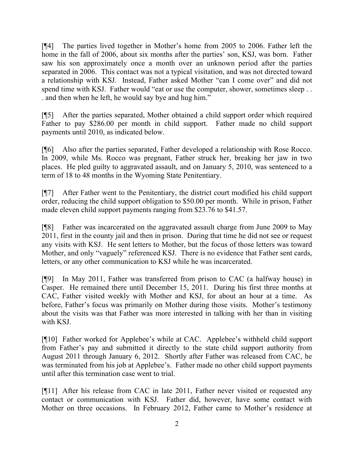[¶4] The parties lived together in Mother's home from 2005 to 2006. Father left the home in the fall of 2006, about six months after the parties' son, KSJ, was born. Father saw his son approximately once a month over an unknown period after the parties separated in 2006. This contact was not a typical visitation, and was not directed toward a relationship with KSJ. Instead, Father asked Mother "can I come over" and did not spend time with KSJ. Father would "eat or use the computer, shower, sometimes sleep... . and then when he left, he would say bye and hug him."

[¶5] After the parties separated, Mother obtained a child support order which required Father to pay \$286.00 per month in child support. Father made no child support payments until 2010, as indicated below.

[¶6] Also after the parties separated, Father developed a relationship with Rose Rocco. In 2009, while Ms. Rocco was pregnant, Father struck her, breaking her jaw in two places. He pled guilty to aggravated assault, and on January 5, 2010, was sentenced to a term of 18 to 48 months in the Wyoming State Penitentiary.

[¶7] After Father went to the Penitentiary, the district court modified his child support order, reducing the child support obligation to \$50.00 per month. While in prison, Father made eleven child support payments ranging from \$23.76 to \$41.57.

[¶8] Father was incarcerated on the aggravated assault charge from June 2009 to May 2011, first in the county jail and then in prison. During that time he did not see or request any visits with KSJ. He sent letters to Mother, but the focus of those letters was toward Mother, and only "vaguely" referenced KSJ. There is no evidence that Father sent cards, letters, or any other communication to KSJ while he was incarcerated.

[¶9] In May 2011, Father was transferred from prison to CAC (a halfway house) in Casper. He remained there until December 15, 2011. During his first three months at CAC, Father visited weekly with Mother and KSJ, for about an hour at a time. As before, Father's focus was primarily on Mother during those visits. Mother's testimony about the visits was that Father was more interested in talking with her than in visiting with KSJ.

[¶10] Father worked for Applebee's while at CAC. Applebee's withheld child support from Father's pay and submitted it directly to the state child support authority from August 2011 through January 6, 2012. Shortly after Father was released from CAC, he was terminated from his job at Applebee's. Father made no other child support payments until after this termination case went to trial.

[¶11] After his release from CAC in late 2011, Father never visited or requested any contact or communication with KSJ. Father did, however, have some contact with Mother on three occasions. In February 2012, Father came to Mother's residence at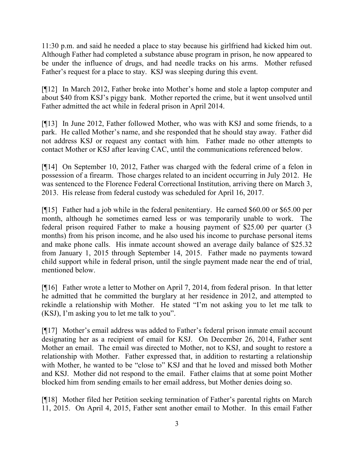11:30 p.m. and said he needed a place to stay because his girlfriend had kicked him out. Although Father had completed a substance abuse program in prison, he now appeared to be under the influence of drugs, and had needle tracks on his arms. Mother refused Father's request for a place to stay. KSJ was sleeping during this event.

[¶12] In March 2012, Father broke into Mother's home and stole a laptop computer and about \$40 from KSJ's piggy bank. Mother reported the crime, but it went unsolved until Father admitted the act while in federal prison in April 2014.

[¶13] In June 2012, Father followed Mother, who was with KSJ and some friends, to a park. He called Mother's name, and she responded that he should stay away. Father did not address KSJ or request any contact with him. Father made no other attempts to contact Mother or KSJ after leaving CAC, until the communications referenced below.

[¶14] On September 10, 2012, Father was charged with the federal crime of a felon in possession of a firearm. Those charges related to an incident occurring in July 2012. He was sentenced to the Florence Federal Correctional Institution, arriving there on March 3, 2013. His release from federal custody was scheduled for April 16, 2017.

[¶15] Father had a job while in the federal penitentiary. He earned \$60.00 or \$65.00 per month, although he sometimes earned less or was temporarily unable to work. The federal prison required Father to make a housing payment of \$25.00 per quarter (3 months) from his prison income, and he also used his income to purchase personal items and make phone calls. His inmate account showed an average daily balance of \$25.32 from January 1, 2015 through September 14, 2015. Father made no payments toward child support while in federal prison, until the single payment made near the end of trial, mentioned below.

[¶16] Father wrote a letter to Mother on April 7, 2014, from federal prison. In that letter he admitted that he committed the burglary at her residence in 2012, and attempted to rekindle a relationship with Mother. He stated "I'm not asking you to let me talk to (KSJ), I'm asking you to let me talk to you".

[¶17] Mother's email address was added to Father's federal prison inmate email account designating her as a recipient of email for KSJ. On December 26, 2014, Father sent Mother an email. The email was directed to Mother, not to KSJ, and sought to restore a relationship with Mother. Father expressed that, in addition to restarting a relationship with Mother, he wanted to be "close to" KSJ and that he loved and missed both Mother and KSJ. Mother did not respond to the email. Father claims that at some point Mother blocked him from sending emails to her email address, but Mother denies doing so.

[¶18] Mother filed her Petition seeking termination of Father's parental rights on March 11, 2015. On April 4, 2015, Father sent another email to Mother. In this email Father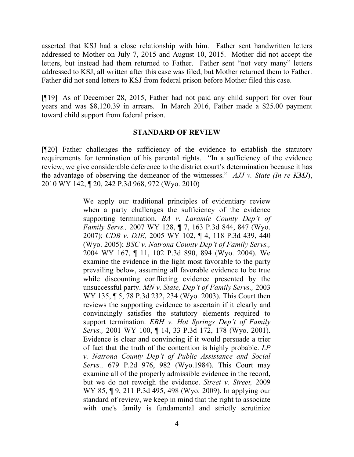asserted that KSJ had a close relationship with him. Father sent handwritten letters addressed to Mother on July 7, 2015 and August 10, 2015. Mother did not accept the letters, but instead had them returned to Father. Father sent "not very many" letters addressed to KSJ, all written after this case was filed, but Mother returned them to Father. Father did not send letters to KSJ from federal prison before Mother filed this case.

[¶19] As of December 28, 2015, Father had not paid any child support for over four years and was \$8,120.39 in arrears. In March 2016, Father made a \$25.00 payment toward child support from federal prison.

### **STANDARD OF REVIEW**

[¶20] Father challenges the sufficiency of the evidence to establish the statutory requirements for termination of his parental rights. "In a sufficiency of the evidence review, we give considerable deference to the district court's determination because it has the advantage of observing the demeanor of the witnesses." *AJJ v. State (In re KMJ*), 2010 WY 142, ¶ 20, 242 P.3d 968, 972 (Wyo. 2010)

> We apply our traditional principles of evidentiary review when a party challenges the sufficiency of the evidence supporting termination. *BA v. Laramie County Dep't of Family Servs.,* 2007 WY 128, ¶ 7, 163 P.3d 844, 847 (Wyo. 2007); *CDB v. DJE,* 2005 WY 102, ¶ 4, 118 P.3d 439, 440 (Wyo. 2005); *BSC v. Natrona County Dep't of Family Servs.,* 2004 WY 167, ¶ 11, 102 P.3d 890, 894 (Wyo. 2004). We examine the evidence in the light most favorable to the party prevailing below, assuming all favorable evidence to be true while discounting conflicting evidence presented by the unsuccessful party. *MN v. State, Dep't of Family Servs.,* 2003 WY 135, ¶ 5, 78 P.3d 232, 234 (Wyo. 2003). This Court then reviews the supporting evidence to ascertain if it clearly and convincingly satisfies the statutory elements required to support termination. *EBH v. Hot Springs Dep't of Family Servs.,* 2001 WY 100, ¶ 14, 33 P.3d 172, 178 (Wyo. 2001). Evidence is clear and convincing if it would persuade a trier of fact that the truth of the contention is highly probable. *LP v. Natrona County Dep't of Public Assistance and Social Servs.,* 679 P.2d 976, 982 (Wyo.1984). This Court may examine all of the properly admissible evidence in the record, but we do not reweigh the evidence. *Street v. Street,* 2009 WY 85, ¶ 9, 211 P.3d 495, 498 (Wyo. 2009). In applying our standard of review, we keep in mind that the right to associate with one's family is fundamental and strictly scrutinize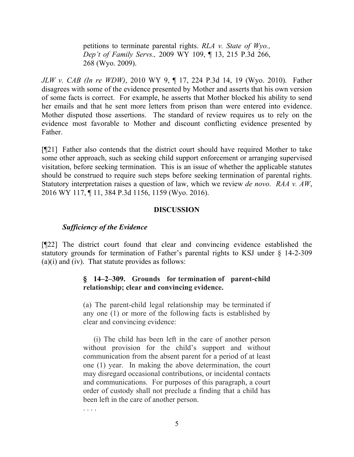petitions to terminate parental rights. *RLA v. State of Wyo., Dep't of Family Servs.,* 2009 WY 109, ¶ 13, 215 P.3d 266, 268 (Wyo. 2009).

*JLW v. CAB (In re WDW)*, 2010 WY 9, ¶ 17, 224 P.3d 14, 19 (Wyo. 2010). Father disagrees with some of the evidence presented by Mother and asserts that his own version of some facts is correct. For example, he asserts that Mother blocked his ability to send her emails and that he sent more letters from prison than were entered into evidence. Mother disputed those assertions. The standard of review requires us to rely on the evidence most favorable to Mother and discount conflicting evidence presented by Father.

[¶21] Father also contends that the district court should have required Mother to take some other approach, such as seeking child support enforcement or arranging supervised visitation, before seeking termination. This is an issue of whether the applicable statutes should be construed to require such steps before seeking termination of parental rights. Statutory interpretation raises a question of law, which we review *de novo*. *RAA v. AW*, 2016 WY 117, ¶ 11, 384 P.3d 1156, 1159 (Wyo. 2016).

### **DISCUSSION**

#### *Sufficiency of the Evidence*

[¶22] The district court found that clear and convincing evidence established the statutory grounds for termination of Father's parental rights to KSJ under § 14-2-309  $(a)(i)$  and  $(iv)$ . That statute provides as follows:

## **§ 14–2–309. Grounds for termination of parent-child relationship; clear and convincing evidence.**

(a) The parent-child legal relationship may be terminated if any one (1) or more of the following facts is established by clear and convincing evidence:

(i) The child has been left in the care of another person without provision for the child's support and without communication from the absent parent for a period of at least one (1) year. In making the above determination, the court may disregard occasional contributions, or incidental contacts and communications. For purposes of this paragraph, a court order of custody shall not preclude a finding that a child has been left in the care of another person.

. . . .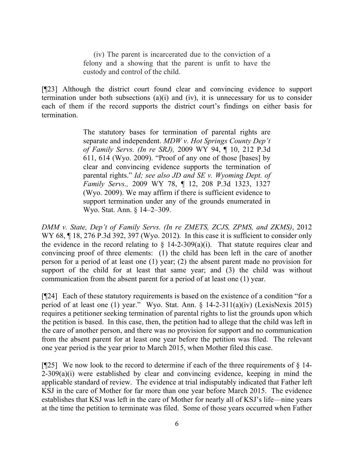(iv) The parent is incarcerated due to the conviction of a felony and a showing that the parent is unfit to have the custody and control of the child.

[¶23] Although the district court found clear and convincing evidence to support termination under both subsections  $(a)(i)$  and  $(iv)$ , it is unnecessary for us to consider each of them if the record supports the district court's findings on either basis for termination.

> The statutory bases for termination of parental rights are separate and independent. *MDW v. Hot Springs County Dep't of Family Servs. (In re SRJ),* 2009 WY 94, ¶ 10, 212 P.3d 611, 614 (Wyo. 2009). "Proof of any one of those [bases] by clear and convincing evidence supports the termination of parental rights." *Id; see also JD and SE v. Wyoming Dept. of Family Servs.,* 2009 WY 78, ¶ 12, 208 P.3d 1323, 1327 (Wyo. 2009). We may affirm if there is sufficient evidence to support termination under any of the grounds enumerated in Wyo. Stat. Ann. § 14–2–309.

*DMM v. State, Dep't of Family Servs. (In re ZMETS, ZCJS, ZPMS, and ZKMS)*, 2012 WY 68,  $\P$  18, 276 P.3d 392, 397 (Wyo. 2012). In this case it is sufficient to consider only the evidence in the record relating to  $\S$  14-2-309(a)(i). That statute requires clear and convincing proof of three elements: (1) the child has been left in the care of another person for a period of at least one (1) year; (2) the absent parent made no provision for support of the child for at least that same year; and (3) the child was without communication from the absent parent for a period of at least one (1) year.

[¶24] Each of these statutory requirements is based on the existence of a condition "for a period of at least one (1) year." Wyo. Stat. Ann. § 14-2-311(a)(iv) (LexisNexis 2015) requires a petitioner seeking termination of parental rights to list the grounds upon which the petition is based. In this case, then, the petition had to allege that the child was left in the care of another person, and there was no provision for support and no communication from the absent parent for at least one year before the petition was filed. The relevant one year period is the year prior to March 2015, when Mother filed this case.

[ $[925]$ ] We now look to the record to determine if each of the three requirements of  $\S$  14- $2-309(a)(i)$  were established by clear and convincing evidence, keeping in mind the applicable standard of review. The evidence at trial indisputably indicated that Father left KSJ in the care of Mother for far more than one year before March 2015. The evidence establishes that KSJ was left in the care of Mother for nearly all of KSJ's life—nine years at the time the petition to terminate was filed. Some of those years occurred when Father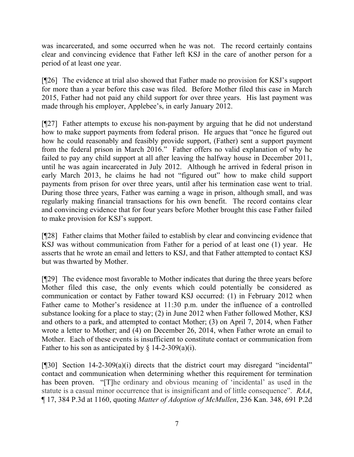was incarcerated, and some occurred when he was not. The record certainly contains clear and convincing evidence that Father left KSJ in the care of another person for a period of at least one year.

[¶26] The evidence at trial also showed that Father made no provision for KSJ's support for more than a year before this case was filed. Before Mother filed this case in March 2015, Father had not paid any child support for over three years. His last payment was made through his employer, Applebee's, in early January 2012.

[¶27] Father attempts to excuse his non-payment by arguing that he did not understand how to make support payments from federal prison. He argues that "once he figured out how he could reasonably and feasibly provide support, (Father) sent a support payment from the federal prison in March 2016." Father offers no valid explanation of why he failed to pay any child support at all after leaving the halfway house in December 2011, until he was again incarcerated in July 2012. Although he arrived in federal prison in early March 2013, he claims he had not "figured out" how to make child support payments from prison for over three years, until after his termination case went to trial. During those three years, Father was earning a wage in prison, although small, and was regularly making financial transactions for his own benefit. The record contains clear and convincing evidence that for four years before Mother brought this case Father failed to make provision for KSJ's support.

[¶28] Father claims that Mother failed to establish by clear and convincing evidence that KSJ was without communication from Father for a period of at least one (1) year. He asserts that he wrote an email and letters to KSJ, and that Father attempted to contact KSJ but was thwarted by Mother.

[¶29] The evidence most favorable to Mother indicates that during the three years before Mother filed this case, the only events which could potentially be considered as communication or contact by Father toward KSJ occurred: (1) in February 2012 when Father came to Mother's residence at 11:30 p.m. under the influence of a controlled substance looking for a place to stay; (2) in June 2012 when Father followed Mother, KSJ and others to a park, and attempted to contact Mother; (3) on April 7, 2014, when Father wrote a letter to Mother; and (4) on December 26, 2014, when Father wrote an email to Mother. Each of these events is insufficient to constitute contact or communication from Father to his son as anticipated by  $\S$  14-2-309(a)(i).

[¶30] Section 14-2-309(a)(i) directs that the district court may disregard "incidental" contact and communication when determining whether this requirement for termination has been proven. "[T]he ordinary and obvious meaning of 'incidental' as used in the statute is a casual minor occurrence that is insignificant and of little consequence". *RAA*, ¶ 17, 384 P.3d at 1160, quoting *Matter of Adoption of McMullen*, 236 Kan. 348, 691 P.2d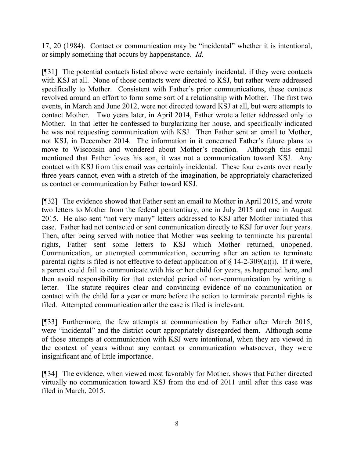17, 20 (1984). Contact or communication may be "incidental" whether it is intentional, or simply something that occurs by happenstance. *Id*.

[¶31] The potential contacts listed above were certainly incidental, if they were contacts with KSJ at all. None of those contacts were directed to KSJ, but rather were addressed specifically to Mother. Consistent with Father's prior communications, these contacts revolved around an effort to form some sort of a relationship with Mother. The first two events, in March and June 2012, were not directed toward KSJ at all, but were attempts to contact Mother. Two years later, in April 2014, Father wrote a letter addressed only to Mother. In that letter he confessed to burglarizing her house, and specifically indicated he was not requesting communication with KSJ. Then Father sent an email to Mother, not KSJ, in December 2014. The information in it concerned Father's future plans to move to Wisconsin and wondered about Mother's reaction. Although this email mentioned that Father loves his son, it was not a communication toward KSJ. Any contact with KSJ from this email was certainly incidental. These four events over nearly three years cannot, even with a stretch of the imagination, be appropriately characterized as contact or communication by Father toward KSJ.

[¶32] The evidence showed that Father sent an email to Mother in April 2015, and wrote two letters to Mother from the federal penitentiary, one in July 2015 and one in August 2015. He also sent "not very many" letters addressed to KSJ after Mother initiated this case. Father had not contacted or sent communication directly to KSJ for over four years. Then, after being served with notice that Mother was seeking to terminate his parental rights, Father sent some letters to KSJ which Mother returned, unopened. Communication, or attempted communication, occurring after an action to terminate parental rights is filed is not effective to defeat application of  $\S$  14-2-309(a)(i). If it were, a parent could fail to communicate with his or her child for years, as happened here, and then avoid responsibility for that extended period of non-communication by writing a letter. The statute requires clear and convincing evidence of no communication or contact with the child for a year or more before the action to terminate parental rights is filed. Attempted communication after the case is filed is irrelevant.

[¶33] Furthermore, the few attempts at communication by Father after March 2015, were "incidental" and the district court appropriately disregarded them. Although some of those attempts at communication with KSJ were intentional, when they are viewed in the context of years without any contact or communication whatsoever, they were insignificant and of little importance.

[¶34] The evidence, when viewed most favorably for Mother, shows that Father directed virtually no communication toward KSJ from the end of 2011 until after this case was filed in March, 2015.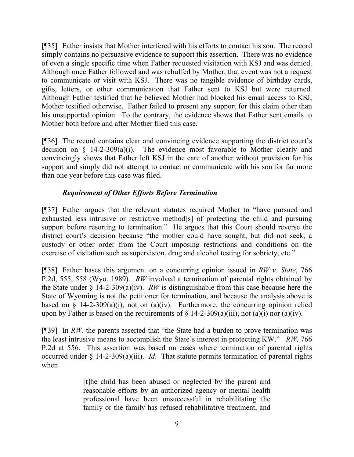[¶35] Father insists that Mother interfered with his efforts to contact his son. The record simply contains no persuasive evidence to support this assertion. There was no evidence of even a single specific time when Father requested visitation with KSJ and was denied. Although once Father followed and was rebuffed by Mother, that event was not a request to communicate or visit with KSJ. There was no tangible evidence of birthday cards, gifts, letters, or other communication that Father sent to KSJ but were returned. Although Father testified that he believed Mother had blocked his email access to KSJ, Mother testified otherwise. Father failed to present any support for this claim other than his unsupported opinion. To the contrary, the evidence shows that Father sent emails to Mother both before and after Mother filed this case.

[¶36] The record contains clear and convincing evidence supporting the district court's decision on § 14-2-309(a)(i). The evidence most favorable to Mother clearly and convincingly shows that Father left KSJ in the care of another without provision for his support and simply did not attempt to contact or communicate with his son for far more than one year before this case was filed.

# *Requirement of Other Efforts Before Termination*

[¶37] Father argues that the relevant statutes required Mother to "have pursued and exhausted less intrusive or restrictive method[s] of protecting the child and pursuing support before resorting to termination." He argues that this Court should reverse the district court's decision because "the mother could have sought, but did not seek, a custody or other order from the Court imposing restrictions and conditions on the exercise of visitation such as supervision, drug and alcohol testing for sobriety, etc."

[¶38] Father bases this argument on a concurring opinion issued in *RW v. State*, 766 P.2d, 555, 558 (Wyo. 1989). *RW* involved a termination of parental rights obtained by the State under § 14-2-309(a)(iv). *RW* is distinguishable from this case because here the State of Wyoming is not the petitioner for termination, and because the analysis above is based on  $\S$  14-2-309(a)(i), not on (a)(iv). Furthermore, the concurring opinion relied upon by Father is based on the requirements of  $\S$  14-2-309(a)(iii), not (a)(i) nor (a)(iv).

[¶39] In *RW,* the parents asserted that "the State had a burden to prove termination was the least intrusive means to accomplish the State's interest in protecting KW." *RW,* 766 P.2d at 556. This assertion was based on cases where termination of parental rights occurred under § 14-2-309(a)(iii). *Id*. That statute permits termination of parental rights when

> [t]he child has been abused or neglected by the parent and reasonable efforts by an authorized agency or mental health professional have been unsuccessful in rehabilitating the family or the family has refused rehabilitative treatment, and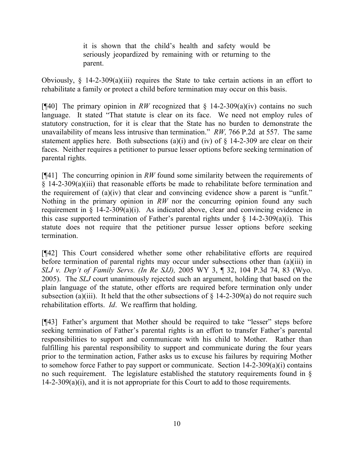it is shown that the child's health and safety would be seriously jeopardized by remaining with or returning to the parent.

Obviously, § 14-2-309(a)(iii) requires the State to take certain actions in an effort to rehabilitate a family or protect a child before termination may occur on this basis.

[¶40] The primary opinion in *RW* recognized that § 14-2-309(a)(iv) contains no such language. It stated "That statute is clear on its face. We need not employ rules of statutory construction, for it is clear that the State has no burden to demonstrate the unavailability of means less intrusive than termination." *RW,* 766 P.2d at 557. The same statement applies here. Both subsections (a)(i) and (iv) of  $\S$  14-2-309 are clear on their faces. Neither requires a petitioner to pursue lesser options before seeking termination of parental rights.

[¶41] The concurring opinion in *RW* found some similarity between the requirements of § 14-2-309(a)(iii) that reasonable efforts be made to rehabilitate before termination and the requirement of (a)(iv) that clear and convincing evidence show a parent is "unfit." Nothing in the primary opinion in *RW* nor the concurring opinion found any such requirement in  $\S$  14-2-309(a)(i). As indicated above, clear and convincing evidence in this case supported termination of Father's parental rights under  $\S$  14-2-309(a)(i). This statute does not require that the petitioner pursue lesser options before seeking termination.

[¶42] This Court considered whether some other rehabilitative efforts are required before termination of parental rights may occur under subsections other than (a)(iii) in *SLJ v. Dep't of Family Servs. (In Re SJJ),* 2005 WY 3, ¶ 32, 104 P.3d 74, 83 (Wyo. 2005). The *SLJ* court unanimously rejected such an argument, holding that based on the plain language of the statute, other efforts are required before termination only under subsection (a)(iii). It held that the other subsections of  $\S$  14-2-309(a) do not require such rehabilitation efforts. *Id*. We reaffirm that holding.

[¶43] Father's argument that Mother should be required to take "lesser" steps before seeking termination of Father's parental rights is an effort to transfer Father's parental responsibilities to support and communicate with his child to Mother. Rather than fulfilling his parental responsibility to support and communicate during the four years prior to the termination action, Father asks us to excuse his failures by requiring Mother to somehow force Father to pay support or communicate. Section 14-2-309(a)(i) contains no such requirement. The legislature established the statutory requirements found in § 14-2-309(a)(i), and it is not appropriate for this Court to add to those requirements.